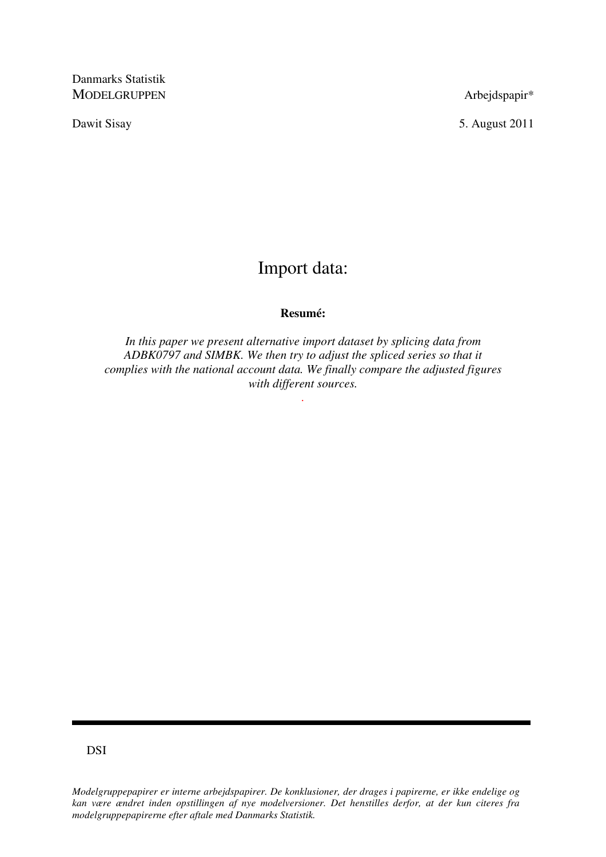Danmarks Statistik MODELGRUPPEN Arbejdspapir\*

Dawit Sisay 5. August 2011

# Import data:

# **Resumé:**

*In this paper we present alternative import dataset by splicing data from ADBK0797 and SIMBK. We then try to adjust the spliced series so that it complies with the national account data. We finally compare the adjusted figures with different sources.* 

*.* 

DSI

*Modelgruppepapirer er interne arbejdspapirer. De konklusioner, der drages i papirerne, er ikke endelige og kan være ændret inden opstillingen af nye modelversioner. Det henstilles derfor, at der kun citeres fra modelgruppepapirerne efter aftale med Danmarks Statistik.*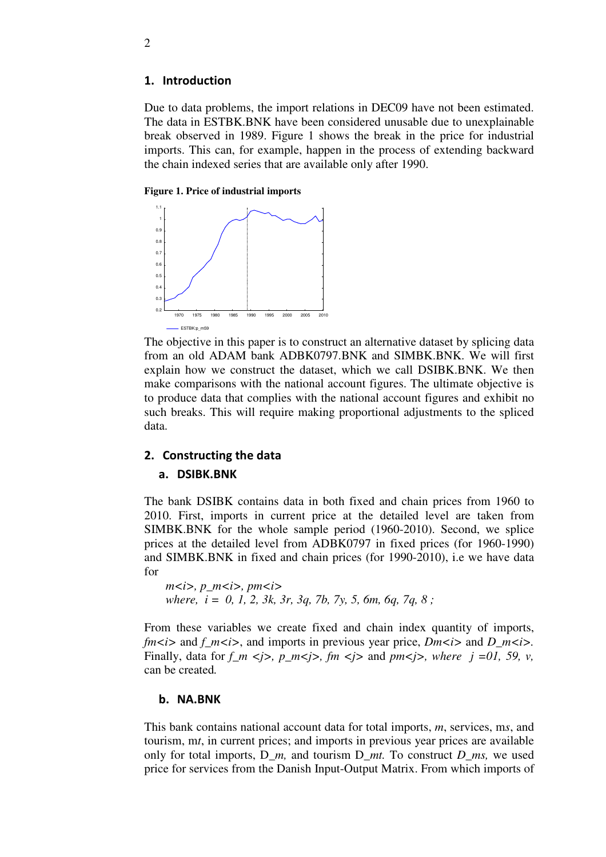### 1. Introduction

Due to data problems, the import relations in DEC09 have not been estimated. The data in ESTBK.BNK have been considered unusable due to unexplainable break observed in 1989. Figure 1 shows the break in the price for industrial imports. This can, for example, happen in the process of extending backward the chain indexed series that are available only after 1990.

#### **Figure 1. Price of industrial imports**



The objective in this paper is to construct an alternative dataset by splicing data from an old ADAM bank ADBK0797.BNK and SIMBK.BNK. We will first explain how we construct the dataset, which we call DSIBK.BNK. We then make comparisons with the national account figures. The ultimate objective is to produce data that complies with the national account figures and exhibit no such breaks. This will require making proportional adjustments to the spliced data.

## 2. Constructing the data

#### a. DSIBK.BNK

The bank DSIBK contains data in both fixed and chain prices from 1960 to 2010. First, imports in current price at the detailed level are taken from SIMBK.BNK for the whole sample period (1960-2010). Second, we splice prices at the detailed level from ADBK0797 in fixed prices (for 1960-1990) and SIMBK.BNK in fixed and chain prices (for 1990-2010), i.e we have data for

```
m
i i p<sub>m</sub> i i m
i p<sub>m</sub>
 where, i = 0, 1, 2, 3k, 3r, 3q, 7b, 7y, 5, 6m, 6q, 7q, 8 ;
```
From these variables we create fixed and chain index quantity of imports, *fm*  $\lt$ *i* and *f m*  $\lt$ *i* and imports in previous year price, *Dm* $\lt$ *i* and *D\_m* $\lt$ *i* and *D\_m* $\lt$ *i* and *D*<sub>*m*</sub> $\lt$ *i* and *D*<sub>*m* $\lt$ *i*</sub> and *D*<sub>*m* $\lt$ *i*</sub> and *D*<sub>*m* $\lt$ *i*</sub> and *D*<sub>*m* $\lt$ *i*</sub> and *D* Finally, data for  $f_m \leq j$ ,  $p_m \leq j$ ,  $fm \leq j$  and  $pm \leq j$ , where  $j = 0, 59, v$ , can be created*.*

#### b. NA.BNK

This bank contains national account data for total imports, *m*, services, m*s*, and tourism, m*t*, in current prices; and imports in previous year prices are available only for total imports, D\_*m,* and tourism D\_*mt.* To construct *D\_ms,* we used price for services from the Danish Input-Output Matrix. From which imports of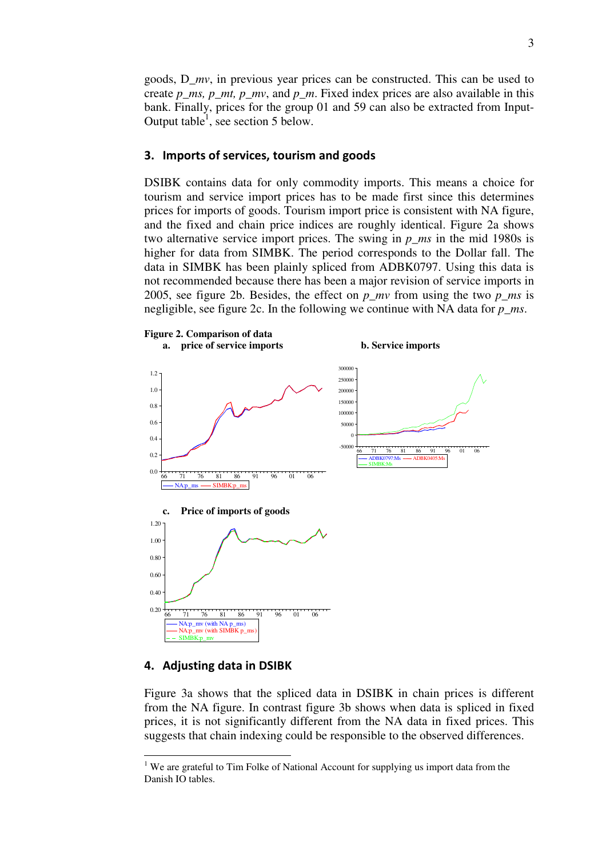goods, D\_*mv*, in previous year prices can be constructed. This can be used to create *p\_ms, p\_mt, p\_mv,* and *p\_m.* Fixed index prices are also available in this bank. Finally, prices for the group 01 and 59 can also be extracted from Input-Output table<sup>1</sup>, see section 5 below.

#### 3. Imports of services, tourism and goods

DSIBK contains data for only commodity imports. This means a choice for tourism and service import prices has to be made first since this determines prices for imports of goods. Tourism import price is consistent with NA figure, and the fixed and chain price indices are roughly identical. Figure 2a shows two alternative service import prices. The swing in *p\_ms* in the mid 1980s is higher for data from SIMBK. The period corresponds to the Dollar fall. The data in SIMBK has been plainly spliced from ADBK0797. Using this data is not recommended because there has been a major revision of service imports in 2005, see figure 2b. Besides, the effect on *p\_mv* from using the two *p\_ms* is negligible, see figure 2c. In the following we continue with NA data for *p\_ms*.



#### 4. Adjusting data in DSIBK

<u>.</u>

Figure 3a shows that the spliced data in DSIBK in chain prices is different from the NA figure. In contrast figure 3b shows when data is spliced in fixed prices, it is not significantly different from the NA data in fixed prices. This suggests that chain indexing could be responsible to the observed differences.

 $1$  We are grateful to Tim Folke of National Account for supplying us import data from the Danish IO tables.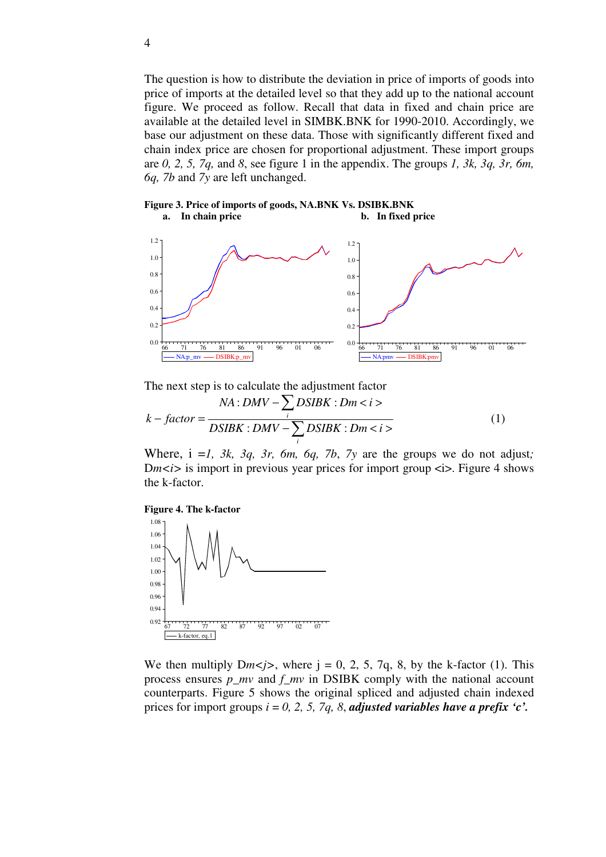The question is how to distribute the deviation in price of imports of goods into price of imports at the detailed level so that they add up to the national account figure. We proceed as follow. Recall that data in fixed and chain price are available at the detailed level in SIMBK.BNK for 1990-2010. Accordingly, we base our adjustment on these data. Those with significantly different fixed and chain index price are chosen for proportional adjustment. These import groups are *0, 2, 5, 7q,* and *8*, see figure 1 in the appendix. The groups *1, 3k, 3q, 3r, 6m, 6q, 7b* and *7y* are left unchanged.

#### **Figure 3. Price of imports of goods, NA.BNK Vs. DSIBK.BNK a. In chain price b. In fixed price**



The next step is to calculate the adjustment factor

$$
k - factor = \frac{NA:DMV - \sum_{i}DSIBK: Dm < i>}{DSIBK:DMV - \sum_{i}DSIBK: Dm < i>}
$$
 (1)

Where, i =*1, 3k, 3q, 3r, 6m, 6q, 7b*, *7y* are the groups we do not adjust*;*  Dm $\langle i \rangle$  is import in previous year prices for import group  $\langle i \rangle$ . Figure 4 shows the k-factor.





We then multiply  $Dm\lt j$ , where  $j = 0, 2, 5, 7q, 8$ , by the k-factor (1). This process ensures *p\_mv* and *f\_mv* in DSIBK comply with the national account counterparts. Figure 5 shows the original spliced and adjusted chain indexed prices for import groups  $i = 0, 2, 5, 7q, 8$ , *adjusted variables have a prefix 'c'*.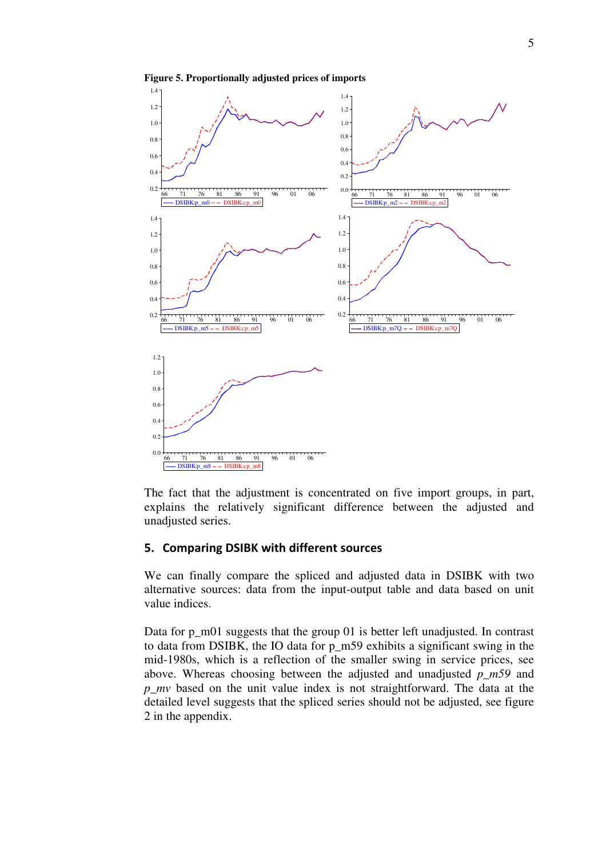

**Figure 5. Proportionally adjusted prices of imports** 

The fact that the adjustment is concentrated on five import groups, in part, explains the relatively significant difference between the adjusted and unadjusted series.

#### 5. Comparing DSIBK with different sources

We can finally compare the spliced and adjusted data in DSIBK with two alternative sources: data from the input-output table and data based on unit value indices.

Data for p\_m01 suggests that the group 01 is better left unadjusted. In contrast to data from DSIBK, the IO data for p\_m59 exhibits a significant swing in the mid-1980s, which is a reflection of the smaller swing in service prices, see above. Whereas choosing between the adjusted and unadjusted *p\_m59* and *p\_mv* based on the unit value index is not straightforward. The data at the detailed level suggests that the spliced series should not be adjusted, see figure 2 in the appendix.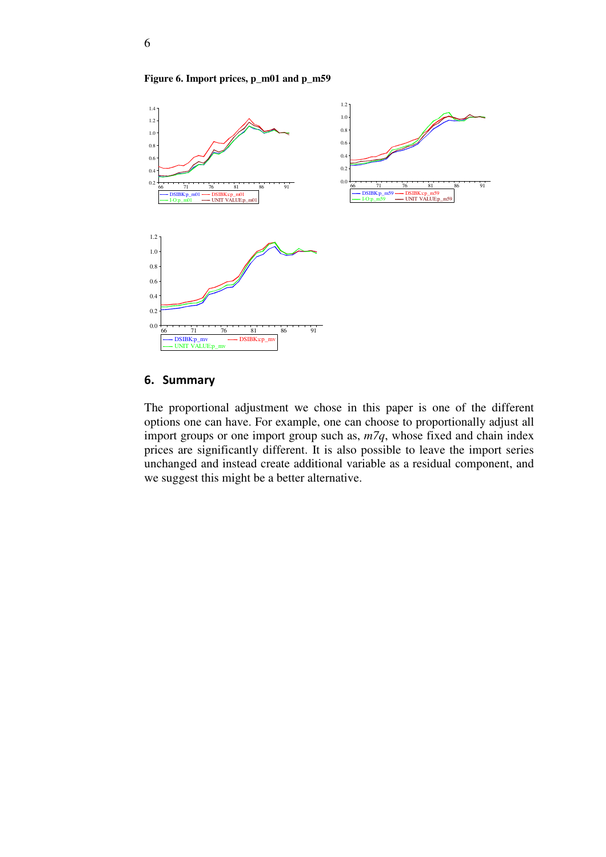**Figure 6. Import prices, p\_m01 and p\_m59** 



#### 6. Summary

The proportional adjustment we chose in this paper is one of the different options one can have. For example, one can choose to proportionally adjust all import groups or one import group such as, *m7q*, whose fixed and chain index prices are significantly different. It is also possible to leave the import series unchanged and instead create additional variable as a residual component, and we suggest this might be a better alternative.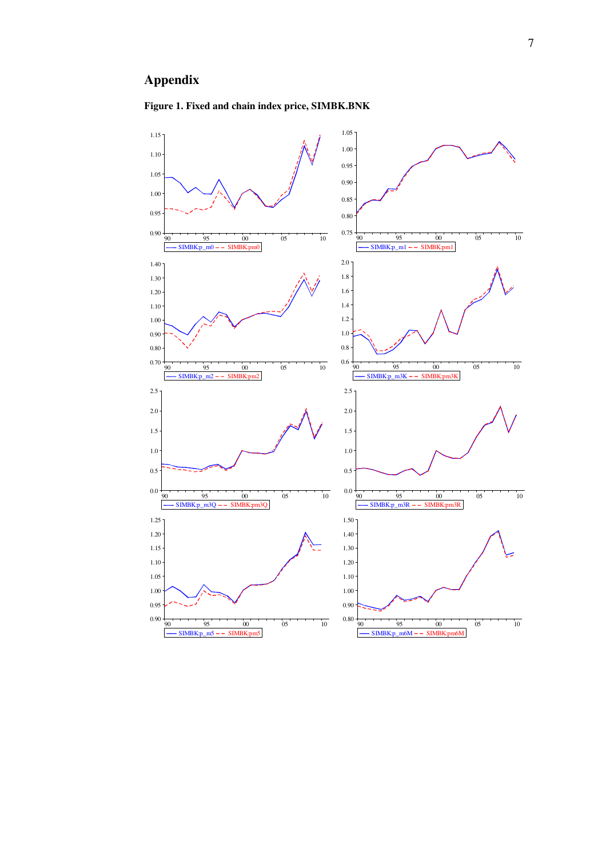# **Appendix**



# **Figure 1. Fixed and chain index price, SIMBK.BNK**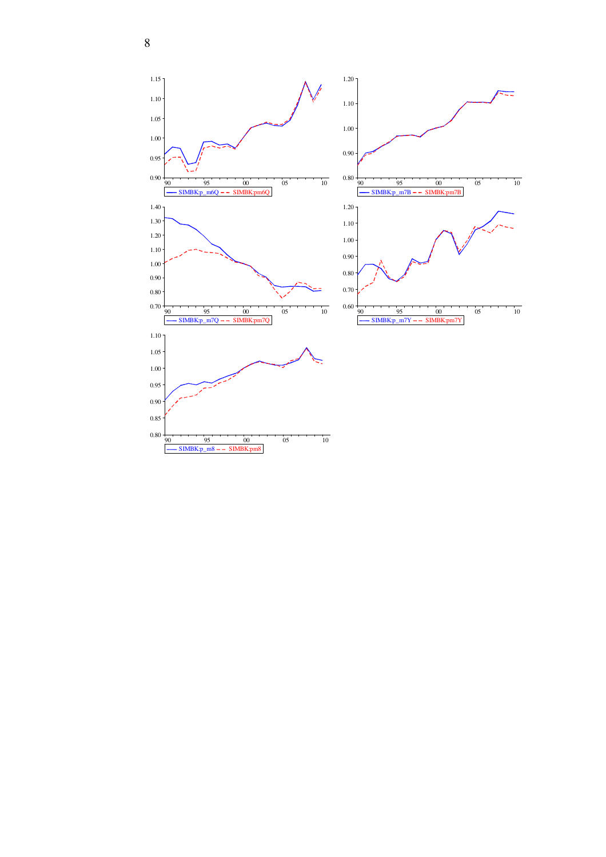